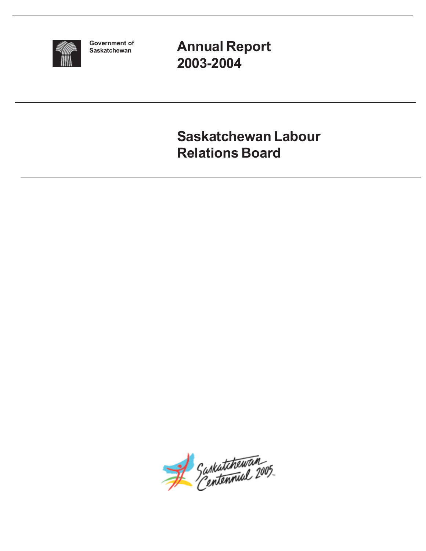

**Government of Saskatchewan**

**Annual Report 2003-2004**

**Saskatchewan Labour Relations Board**

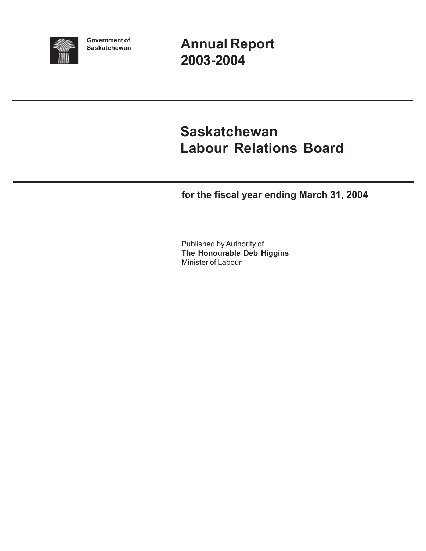

**Government of Saskatchewan** **Annual Report 2003-2004**

# **Saskatchewan Labour Relations Board**

**for the fiscal year ending March 31, 2004**

Published by Authority of **The Honourable Deb Higgins** Minister of Labour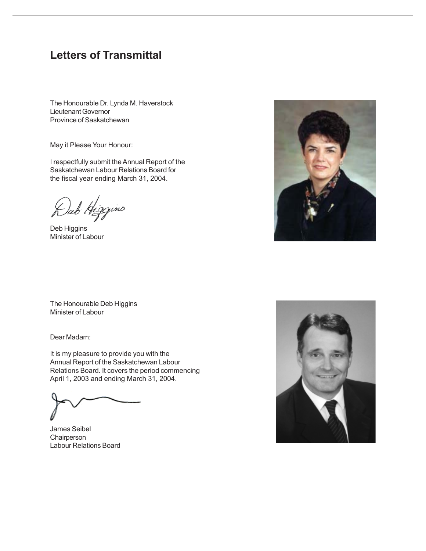## **Letters of Transmittal**

The Honourable Dr. Lynda M. Haverstock Lieutenant Governor Province of Saskatchewan

May it Please Your Honour:

I respectfully submit the Annual Report of the Saskatchewan Labour Relations Board for the fiscal year ending March 31, 2004.

ab Higgins)

Deb Higgins Minister of Labour



The Honourable Deb Higgins Minister of Labour

Dear Madam:

It is my pleasure to provide you with the Annual Report of the Saskatchewan Labour Relations Board. It covers the period commencing April 1, 2003 and ending March 31, 2004.

James Seibel **Chairperson** Labour Relations Board

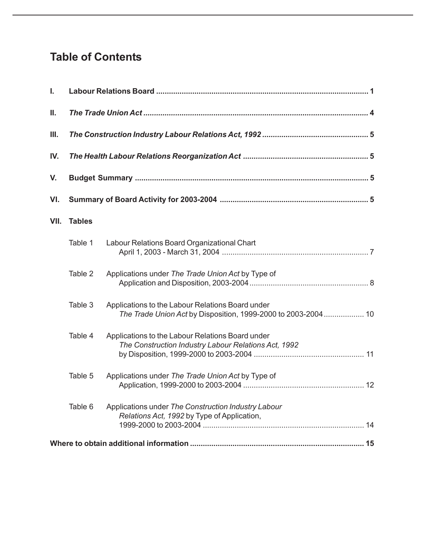## **Table of Contents**

| I.   |               |                                                                                                                   |  |  |  |  |  |  |
|------|---------------|-------------------------------------------------------------------------------------------------------------------|--|--|--|--|--|--|
| Ш.   |               |                                                                                                                   |  |  |  |  |  |  |
| Ш.   |               |                                                                                                                   |  |  |  |  |  |  |
| IV.  |               |                                                                                                                   |  |  |  |  |  |  |
| V.   |               |                                                                                                                   |  |  |  |  |  |  |
| VI.  |               |                                                                                                                   |  |  |  |  |  |  |
| VII. | <b>Tables</b> |                                                                                                                   |  |  |  |  |  |  |
|      | Table 1       | Labour Relations Board Organizational Chart                                                                       |  |  |  |  |  |  |
|      | Table 2       | Applications under The Trade Union Act by Type of                                                                 |  |  |  |  |  |  |
|      | Table 3       | Applications to the Labour Relations Board under<br>The Trade Union Act by Disposition, 1999-2000 to 2003-2004 10 |  |  |  |  |  |  |
|      | Table 4       | Applications to the Labour Relations Board under<br>The Construction Industry Labour Relations Act, 1992          |  |  |  |  |  |  |
|      | Table 5       | Applications under The Trade Union Act by Type of                                                                 |  |  |  |  |  |  |
|      | Table 6       | Applications under The Construction Industry Labour<br>Relations Act, 1992 by Type of Application,                |  |  |  |  |  |  |
|      |               |                                                                                                                   |  |  |  |  |  |  |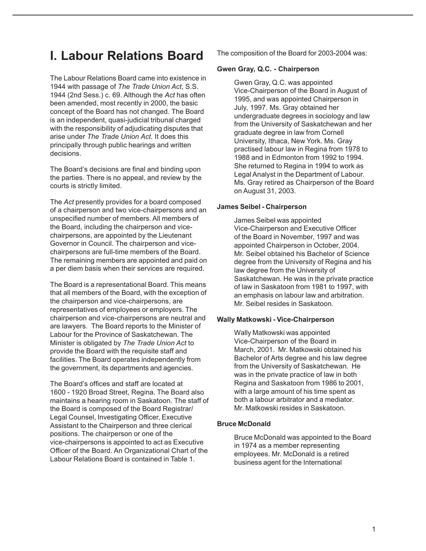## **I. Labour Relations Board**

The Labour Relations Board came into existence in 1944 with passage of *The Trade Union Act*, S.S. 1944 (2nd Sess.) c. 69. Although the *Act* has often been amended, most recently in 2000, the basic concept of the Board has not changed. The Board is an independent, quasi-judicial tribunal charged with the responsibility of adjudicating disputes that arise under *The Trade Union Act*. It does this principally through public hearings and written decisions.

The Board's decisions are final and binding upon the parties. There is no appeal, and review by the courts is strictly limited.

The *Act* presently provides for a board composed of a chairperson and two vice-chairpersons and an unspecified number of members. All members of the Board, including the chairperson and vicechairpersons, are appointed by the Lieutenant Governor in Council. The chairperson and vicechairpersons are full-time members of the Board. The remaining members are appointed and paid on a per diem basis when their services are required.

The Board is a representational Board. This means that all members of the Board, with the exception of the chairperson and vice-chairpersons, are representatives of employees or employers. The chairperson and vice-chairpersons are neutral and are lawyers. The Board reports to the Minister of Labour for the Province of Saskatchewan. The Minister is obligated by *The Trade Union Act* to provide the Board with the requisite staff and facilities. The Board operates independently from the government, its departments and agencies.

The Board's offices and staff are located at 1600 - 1920 Broad Street, Regina. The Board also maintains a hearing room in Saskatoon. The staff of the Board is composed of the Board Registrar/ Legal Counsel, Investigating Officer, Executive Assistant to the Chairperson and three clerical positions. The chairperson or one of the vice-chairpersons is appointed to act as Executive Officer of the Board. An Organizational Chart of the Labour Relations Board is contained in Table 1.

The composition of the Board for 2003-2004 was:

### **Gwen Gray, Q.C. - Chairperson**

Gwen Gray, Q.C. was appointed Vice-Chairperson of the Board in August of 1995, and was appointed Chairperson in July, 1997. Ms. Gray obtained her undergraduate degrees in sociology and law from the University of Saskatchewan and her graduate degree in law from Cornell University, Ithaca, New York. Ms. Gray practised labour law in Regina from 1978 to 1988 and in Edmonton from 1992 to 1994. She returned to Regina in 1994 to work as Legal Analyst in the Department of Labour. Ms. Gray retired as Chairperson of the Board on August 31, 2003.

### **James Seibel - Chairperson**

James Seibel was appointed Vice-Chairperson and Executive Officer of the Board in November, 1997 and was appointed Chairperson in October, 2004. Mr. Seibel obtained his Bachelor of Science degree from the University of Regina and his law degree from the University of Saskatchewan. He was in the private practice of law in Saskatoon from 1981 to 1997, with an emphasis on labour law and arbitration. Mr. Seibel resides in Saskatoon.

### **Wally Matkowski - Vice-Chairperson**

Wally Matkowski was appointed Vice-Chairperson of the Board in March, 2001. Mr. Matkowski obtained his Bachelor of Arts degree and his law degree from the University of Saskatchewan. He was in the private practice of law in both Regina and Saskatoon from 1986 to 2001, with a large amount of his time spent as both a labour arbitrator and a mediator. Mr. Matkowski resides in Saskatoon.

### **Bruce McDonald**

Bruce McDonald was appointed to the Board in 1974 as a member representing employees. Mr. McDonald is a retired business agent for the International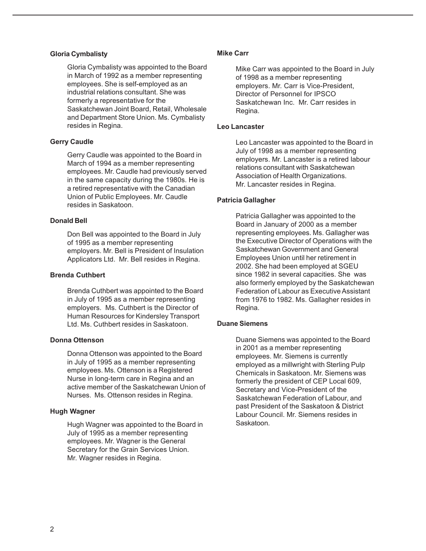#### **Gloria Cymbalisty**

Gloria Cymbalisty was appointed to the Board in March of 1992 as a member representing employees. She is self-employed as an industrial relations consultant. She was formerly a representative for the Saskatchewan Joint Board, Retail, Wholesale and Department Store Union. Ms. Cymbalisty resides in Regina.

### **Gerry Caudle**

Gerry Caudle was appointed to the Board in March of 1994 as a member representing employees. Mr. Caudle had previously served in the same capacity during the 1980s. He is a retired representative with the Canadian Union of Public Employees. Mr. Caudle resides in Saskatoon.

#### **Donald Bell**

Don Bell was appointed to the Board in July of 1995 as a member representing employers. Mr. Bell is President of Insulation Applicators Ltd. Mr. Bell resides in Regina.

### **Brenda Cuthbert**

Brenda Cuthbert was appointed to the Board in July of 1995 as a member representing employers. Ms. Cuthbert is the Director of Human Resources for Kindersley Transport Ltd. Ms. Cuthbert resides in Saskatoon.

### **Donna Ottenson**

Donna Ottenson was appointed to the Board in July of 1995 as a member representing employees. Ms. Ottenson is a Registered Nurse in long-term care in Regina and an active member of the Saskatchewan Union of Nurses. Ms. Ottenson resides in Regina.

### **Hugh Wagner**

Hugh Wagner was appointed to the Board in July of 1995 as a member representing employees. Mr. Wagner is the General Secretary for the Grain Services Union. Mr. Wagner resides in Regina.

#### **Mike Carr**

Mike Carr was appointed to the Board in July of 1998 as a member representing employers. Mr. Carr is Vice-President, Director of Personnel for IPSCO Saskatchewan Inc. Mr. Carr resides in Regina.

#### **Leo Lancaster**

Leo Lancaster was appointed to the Board in July of 1998 as a member representing employers. Mr. Lancaster is a retired labour relations consultant with Saskatchewan Association of Health Organizations. Mr. Lancaster resides in Regina.

### **Patricia Gallagher**

Patricia Gallagher was appointed to the Board in January of 2000 as a member representing employees. Ms. Gallagher was the Executive Director of Operations with the Saskatchewan Government and General Employees Union until her retirement in 2002. She had been employed at SGEU since 1982 in several capacities. She was also formerly employed by the Saskatchewan Federation of Labour as Executive Assistant from 1976 to 1982. Ms. Gallagher resides in Regina.

#### **Duane Siemens**

Duane Siemens was appointed to the Board in 2001 as a member representing employees. Mr. Siemens is currently employed as a millwright with Sterling Pulp Chemicals in Saskatoon. Mr. Siemens was formerly the president of CEP Local 609, Secretary and Vice-President of the Saskatchewan Federation of Labour, and past President of the Saskatoon & District Labour Council. Mr. Siemens resides in Saskatoon.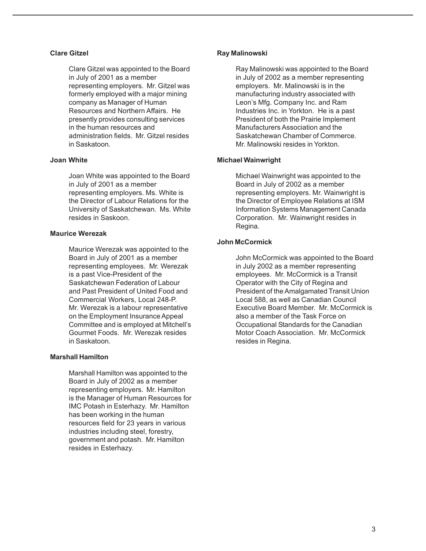### **Clare Gitzel**

Clare Gitzel was appointed to the Board in July of 2001 as a member representing employers. Mr. Gitzel was formerly employed with a major mining company as Manager of Human Resources and Northern Affairs. He presently provides consulting services in the human resources and administration fields. Mr. Gitzel resides in Saskatoon.

#### **Joan White**

Joan White was appointed to the Board in July of 2001 as a member representing employers. Ms. White is the Director of Labour Relations for the University of Saskatchewan. Ms. White resides in Saskoon.

### **Maurice Werezak**

Maurice Werezak was appointed to the Board in July of 2001 as a member representing employees. Mr. Werezak is a past Vice-President of the Saskatchewan Federation of Labour and Past President of United Food and Commercial Workers, Local 248-P. Mr. Werezak is a labour representative on the Employment Insurance Appeal Committee and is employed at Mitchell's Gourmet Foods. Mr. Werezak resides in Saskatoon.

#### **Marshall Hamilton**

Marshall Hamilton was appointed to the Board in July of 2002 as a member representing employers. Mr. Hamilton is the Manager of Human Resources for IMC Potash in Esterhazy. Mr. Hamilton has been working in the human resources field for 23 years in various industries including steel, forestry, government and potash. Mr. Hamilton resides in Esterhazy.

### **Ray Malinowski**

Ray Malinowski was appointed to the Board in July of 2002 as a member representing employers. Mr. Malinowski is in the manufacturing industry associated with Leon's Mfg. Company Inc. and Ram Industries Inc. in Yorkton. He is a past President of both the Prairie Implement Manufacturers Association and the Saskatchewan Chamber of Commerce. Mr. Malinowski resides in Yorkton.

### **Michael Wainwright**

Michael Wainwright was appointed to the Board in July of 2002 as a member representing employers. Mr. Wainwright is the Director of Employee Relations at ISM Information Systems Management Canada Corporation. Mr. Wainwright resides in Regina.

### **John McCormick**

John McCormick was appointed to the Board in July 2002 as a member representing employees. Mr. McCormick is a Transit Operator with the City of Regina and President of the Amalgamated Transit Union Local 588, as well as Canadian Council Executive Board Member. Mr. McCormick is also a member of the Task Force on Occupational Standards for the Canadian Motor Coach Association. Mr. McCormick resides in Regina.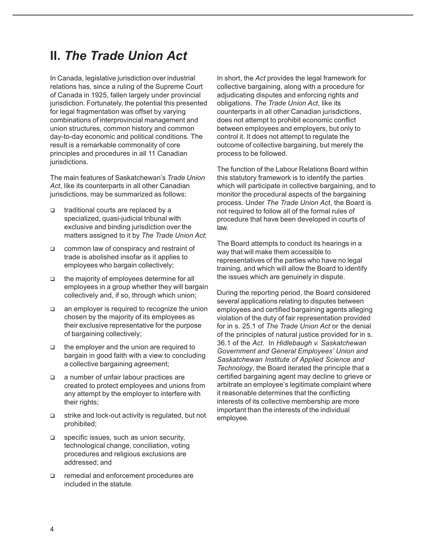## **II.** *The Trade Union Act*

In Canada, legislative jurisdiction over industrial relations has, since a ruling of the Supreme Court of Canada in 1925, fallen largely under provincial jurisdiction. Fortunately, the potential this presented for legal fragmentation was offset by varying combinations of interprovincial management and union structures, common history and common day-to-day economic and political conditions. The result is a remarkable commonality of core principles and procedures in all 11 Canadian jurisdictions.

The main features of Saskatchewan's *Trade Union Act*, like its counterparts in all other Canadian jurisdictions, may be summarized as follows:

- □ traditional courts are replaced by a specialized, quasi-judicial tribunal with exclusive and binding jurisdiction over the matters assigned to it by *The Trade Union Act*;
- common law of conspiracy and restraint of trade is abolished insofar as it applies to employees who bargain collectively;
- $\Box$  the majority of employees determine for all employees in a group whether they will bargain collectively and, if so, through which union;
- an employer is required to recognize the union chosen by the majority of its employees as their exclusive representative for the purpose of bargaining collectively;
- the employer and the union are required to bargain in good faith with a view to concluding a collective bargaining agreement;
- a number of unfair labour practices are created to protect employees and unions from any attempt by the employer to interfere with their rights;
- strike and lock-out activity is regulated, but not prohibited;
- $\Box$  specific issues, such as union security, technological change, conciliation, voting procedures and religious exclusions are addressed; and
- remedial and enforcement procedures are included in the statute.

In short, the *Act* provides the legal framework for collective bargaining, along with a procedure for adjudicating disputes and enforcing rights and obligations. *The Trade Union Act*, like its counterparts in all other Canadian jurisdictions, does not attempt to prohibit economic conflict between employees and employers, but only to control it. It does not attempt to regulate the outcome of collective bargaining, but merely the process to be followed.

The function of the Labour Relations Board within this statutory framework is to identify the parties which will participate in collective bargaining, and to monitor the procedural aspects of the bargaining process. Under *The Trade Union Act*, the Board is not required to follow all of the formal rules of procedure that have been developed in courts of law.

The Board attempts to conduct its hearings in a way that will make them accessible to representatives of the parties who have no legal training, and which will allow the Board to identify the issues which are genuinely in dispute.

During the reporting period, the Board considered several applications relating to disputes between employees and certified bargaining agents alleging violation of the duty of fair representation provided for in s. 25.1 of *The Trade Union Act* or the denial of the principles of natural justice provided for in s. 36.1 of the *Act*. In *Hidlebaugh v. Saskatchewan Government and General Employees' Union and Saskatchewan Institute of Applied Science and Technology*, the Board iterated the principle that a certified bargaining agent may decline to grieve or arbitrate an employee's legitimate complaint where it reasonable determines that the conflicting interests of its collective membership are more important than the interests of the individual employee.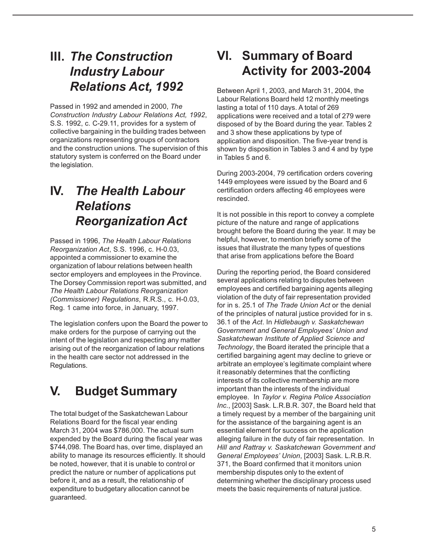## **III.** *The Construction Industry Labour Relations Act, 1992*

Passed in 1992 and amended in 2000, *The Construction Industry Labour Relations Act, 1992*, S.S. 1992, c. C-29.11, provides for a system of collective bargaining in the building trades between organizations representing groups of contractors and the construction unions. The supervision of this statutory system is conferred on the Board under the legislation.

# **IV.** *The Health Labour Relations Reorganization Act*

Passed in 1996, *The Health Labour Relations Reorganization Act*, S.S. 1996, c. H-0.03, appointed a commissioner to examine the organization of labour relations between health sector employers and employees in the Province. The Dorsey Commission report was submitted, and *The Health Labour Relations Reorganization (Commissioner) Regulations*, R.R.S., c. H-0.03, Reg. 1 came into force, in January, 1997.

The legislation confers upon the Board the power to make orders for the purpose of carrying out the intent of the legislation and respecting any matter arising out of the reorganization of labour relations in the health care sector not addressed in the Regulations.

# **V. Budget Summary**

The total budget of the Saskatchewan Labour Relations Board for the fiscal year ending March 31, 2004 was \$786,000. The actual sum expended by the Board during the fiscal year was \$744,098. The Board has, over time, displayed an ability to manage its resources efficiently. It should be noted, however, that it is unable to control or predict the nature or number of applications put before it, and as a result, the relationship of expenditure to budgetary allocation cannot be guaranteed.

# **VI. Summary of Board Activity for 2003-2004**

Between April 1, 2003, and March 31, 2004, the Labour Relations Board held 12 monthly meetings lasting a total of 110 days. A total of 269 applications were received and a total of 279 were disposed of by the Board during the year. Tables 2 and 3 show these applications by type of application and disposition. The five-year trend is shown by disposition in Tables 3 and 4 and by type in Tables 5 and 6.

During 2003-2004, 79 certification orders covering 1449 employees were issued by the Board and 6 certification orders affecting 46 employees were rescinded.

It is not possible in this report to convey a complete picture of the nature and range of applications brought before the Board during the year. It may be helpful, however, to mention briefly some of the issues that illustrate the many types of questions that arise from applications before the Board

During the reporting period, the Board considered several applications relating to disputes between employees and certified bargaining agents alleging violation of the duty of fair representation provided for in s. 25.1 of *The Trade Union Act* or the denial of the principles of natural justice provided for in s. 36.1 of the *Act*. In *Hidlebaugh v. Saskatchewan Government and General Employees' Union and Saskatchewan Institute of Applied Science and Technology*, the Board iterated the principle that a certified bargaining agent may decline to grieve or arbitrate an employee's legitimate complaint where it reasonably determines that the conflicting interests of its collective membership are more important than the interests of the individual employee. In *Taylor v. Regina Police Association Inc.*, [2003] Sask. L.R.B.R. 307, the Board held that a timely request by a member of the bargaining unit for the assistance of the bargaining agent is an essential element for success on the application alleging failure in the duty of fair representation. In *Hill and Rattray v. Saskatchewan Government and General Employees' Union*, [2003] Sask. L.R.B.R. 371, the Board confirmed that it monitors union membership disputes only to the extent of determining whether the disciplinary process used meets the basic requirements of natural justice.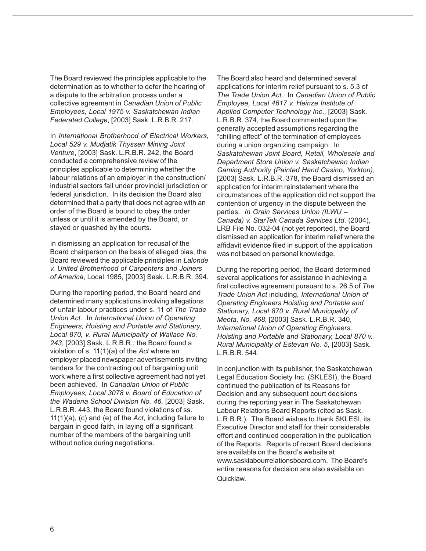The Board reviewed the principles applicable to the determination as to whether to defer the hearing of a dispute to the arbitration process under a collective agreement in *Canadian Union of Public Employees, Local 1975 v. Saskatchewan Indian Federated College*, [2003] Sask. L.R.B.R. 217.

In *International Brotherhood of Electrical Workers, Local 529 v. Mudjatik Thyssen Mining Joint Venture*, [2003] Sask. L.R.B.R. 242, the Board conducted a comprehensive review of the principles applicable to determining whether the labour relations of an employer in the construction/ industrial sectors fall under provincial jurisdiction or federal jurisdiction. In its decision the Board also determined that a party that does not agree with an order of the Board is bound to obey the order unless or until it is amended by the Board, or stayed or quashed by the courts.

In dismissing an application for recusal of the Board chairperson on the basis of alleged bias, the Board reviewed the applicable principles in *Lalonde v. United Brotherhood of Carpenters and Joiners of America*, Local 1985, [2003] Sask. L.R.B.R. 394.

During the reporting period, the Board heard and determined many applications involving allegations of unfair labour practices under s. 11 of *The Trade Union Act*. In *International Union of Operating Engineers, Hoisting and Portable and Stationary, Local 870, v. Rural Municipality of Wallace No. 243*, [2003] Sask. L.R.B.R., the Board found a violation of s. 11(1)(a) of the *Act* where an employer placed newspaper advertisements inviting tenders for the contracting out of bargaining unit work where a first collective agreement had not yet been achieved. In *Canadian Union of Public Employees, Local 3078 v. Board of Education of the Wadena School Division No. 46*, [2003] Sask. L.R.B.R. 443, the Board found violations of ss. 11(1)(a), (c) and (e) of the *Act*, including failure to bargain in good faith, in laying off a significant number of the members of the bargaining unit without notice during negotiations.

The Board also heard and determined several applications for interim relief pursuant to s. 5.3 of *The Trade Union Act*. In *Canadian Union of Public Employee, Local 4617 v. Heinze Institute of Applied Computer Technology Inc*., [2003] Sask. L.R.B.R. 374, the Board commented upon the generally accepted assumptions regarding the "chilling effect" of the termination of employees during a union organizing campaign. In *Saskatchewan Joint Board, Retail, Wholesale and Department Store Union v. Saskatchewan Indian Gaming Authority (Painted Hand Casino, Yorkton)*, [2003] Sask. L.R.B.R. 378, the Board dismissed an application for interim reinstatement where the circumstances of the application did not support the contention of urgency in the dispute between the parties. *In Grain Services Union (ILWU – Canada) v. StarTek Canada Services Ltd*. (2004), LRB File No. 032-04 (not yet reported), the Board dismissed an application for interim relief where the affidavit evidence filed in support of the application was not based on personal knowledge.

During the reporting period, the Board determined several applications for assistance in achieving a first collective agreement pursuant to s. 26.5 of *The Trade Union Act* including, *International Union of Operating Engineers Hoisting and Portable and Stationary, Local 870 v. Rural Municipality of Meota, No. 468*, [2003] Sask. L.R.B.R. 340, *International Union of Operating Engineers, Hoisting and Portable and Stationary, Local 870 v. Rural Municipality of Estevan No. 5*, [2003] Sask. L.R.B.R. 544.

In conjunction with its publisher, the Saskatchewan Legal Education Society Inc. (SKLESI), the Board continued the publication of its Reasons for Decision and any subsequent court decisions during the reporting year in The Saskatchewan Labour Relations Board Reports (cited as Sask. L.R.B.R.). The Board wishes to thank SKLESI, its Executive Director and staff for their considerable effort and continued cooperation in the publication of the Reports. Reports of recent Board decisions are available on the Board's website at www.sasklabourrelationsboard.com. The Board's entire reasons for decision are also available on Quicklaw.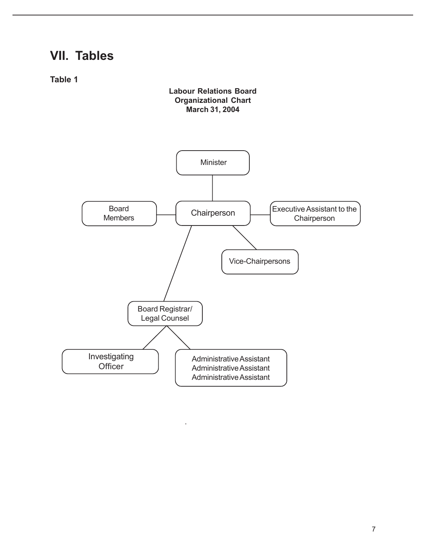## **VII. Tables**

**Table 1**

### **Labour Relations Board Organizational Chart March 31, 2004**

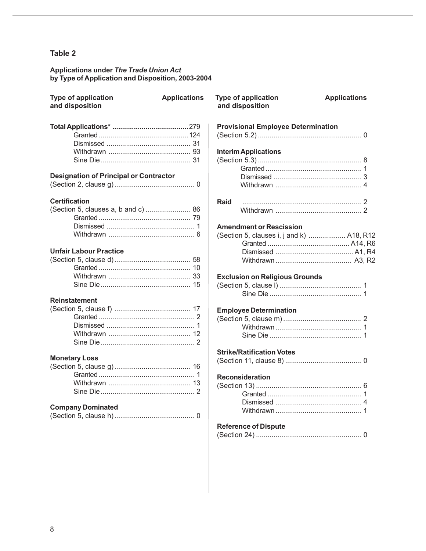#### **Applications under** *The Trade Union Act* **by Type of Application and Disposition, 2003-2004**

| <b>Type of application</b><br>and disposition | <b>Applications</b> | <b>Type of application</b><br>and disposition | <b>Applications</b> |
|-----------------------------------------------|---------------------|-----------------------------------------------|---------------------|
|                                               |                     | <b>Provisional Employee Determination</b>     |                     |
|                                               |                     |                                               |                     |
|                                               |                     |                                               |                     |
|                                               |                     | <b>Interim Applications</b>                   |                     |
|                                               |                     |                                               |                     |
|                                               |                     |                                               |                     |
| <b>Designation of Principal or Contractor</b> |                     |                                               |                     |
|                                               |                     |                                               |                     |
| <b>Certification</b>                          |                     | Raid                                          |                     |
| (Section 5, clauses a, b and c)  86           |                     |                                               |                     |
|                                               |                     |                                               |                     |
|                                               |                     | <b>Amendment or Rescission</b>                |                     |
|                                               |                     | (Section 5, clauses i, j and k)  A18, R12     |                     |
|                                               |                     |                                               |                     |
| <b>Unfair Labour Practice</b>                 |                     |                                               |                     |
|                                               |                     |                                               |                     |
|                                               |                     |                                               |                     |
|                                               |                     | <b>Exclusion on Religious Grounds</b>         |                     |
|                                               |                     |                                               |                     |
|                                               |                     |                                               |                     |
| <b>Reinstatement</b>                          |                     |                                               |                     |
|                                               |                     |                                               |                     |
|                                               |                     | <b>Employee Determination</b>                 |                     |
|                                               |                     |                                               |                     |
|                                               |                     |                                               |                     |
|                                               |                     |                                               |                     |
|                                               |                     | <b>Strike/Ratification Votes</b>              |                     |
| <b>Monetary Loss</b>                          |                     |                                               |                     |
|                                               |                     |                                               |                     |
|                                               |                     | <b>Reconsideration</b>                        |                     |
|                                               |                     |                                               |                     |
|                                               |                     |                                               |                     |
|                                               |                     |                                               |                     |
| <b>Company Dominated</b>                      |                     |                                               |                     |
|                                               |                     |                                               |                     |
|                                               |                     |                                               |                     |
|                                               |                     | <b>Reference of Dispute</b>                   |                     |
|                                               |                     |                                               |                     |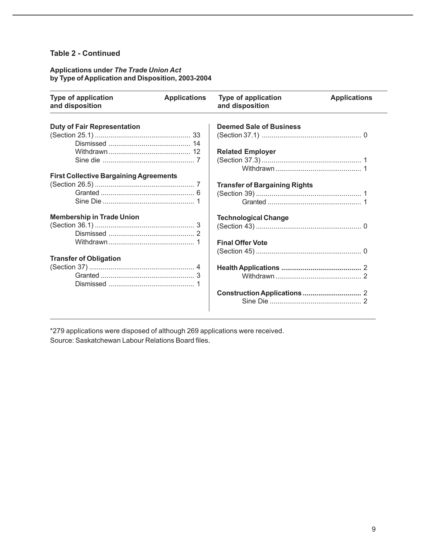### **Table 2 - Continued**

### **Applications under** *The Trade Union Act* **by Type of Application and Disposition, 2003-2004**

| <b>Type of application</b><br>and disposition | <b>Applications</b> | <b>Type of application</b><br>and disposition | <b>Applications</b> |
|-----------------------------------------------|---------------------|-----------------------------------------------|---------------------|
| <b>Duty of Fair Representation</b>            |                     | <b>Deemed Sale of Business</b>                |                     |
|                                               |                     |                                               |                     |
|                                               |                     |                                               |                     |
|                                               |                     | <b>Related Employer</b>                       |                     |
|                                               |                     |                                               |                     |
|                                               |                     |                                               |                     |
| <b>First Collective Bargaining Agreements</b> |                     |                                               |                     |
|                                               |                     | <b>Transfer of Bargaining Rights</b>          |                     |
|                                               |                     |                                               |                     |
|                                               |                     |                                               |                     |
| <b>Membership in Trade Union</b>              |                     | <b>Technological Change</b>                   |                     |
|                                               |                     |                                               |                     |
|                                               |                     |                                               |                     |
|                                               |                     | <b>Final Offer Vote</b>                       |                     |
|                                               |                     |                                               |                     |
| <b>Transfer of Obligation</b>                 |                     |                                               |                     |
|                                               |                     |                                               |                     |
|                                               |                     |                                               |                     |
|                                               |                     |                                               |                     |
|                                               |                     |                                               |                     |
|                                               |                     |                                               |                     |

\*279 applications were disposed of although 269 applications were received. Source: Saskatchewan Labour Relations Board files.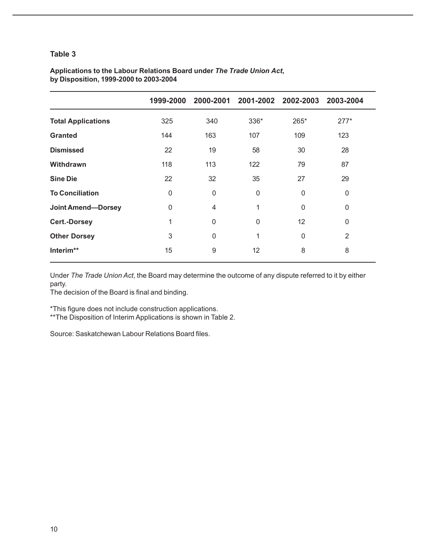|                           | 1999-2000    |             | 2000-2001 2001-2002 2002-2003 |      | 2003-2004      |
|---------------------------|--------------|-------------|-------------------------------|------|----------------|
| <b>Total Applications</b> | 325          | 340         | 336*                          | 265* | $277*$         |
| <b>Granted</b>            | 144          | 163         | 107                           | 109  | 123            |
| <b>Dismissed</b>          | 22           | 19          | 58                            | 30   | 28             |
| Withdrawn                 | 118          | 113         | 122                           | 79   | 87             |
| <b>Sine Die</b>           | 22           | 32          | 35                            | 27   | 29             |
| <b>To Conciliation</b>    | $\mathbf{0}$ | 0           | $\mathbf{0}$                  | 0    | 0              |
| <b>Joint Amend-Dorsey</b> | $\mathbf{0}$ | 4           | 1                             | 0    | 0              |
| <b>Cert.-Dorsey</b>       | 1            | $\mathbf 0$ | $\Omega$                      | 12   | 0              |
| <b>Other Dorsey</b>       | 3            | 0           | 1                             | 0    | $\overline{2}$ |
| Interim**                 | 15           | 9           | 12                            | 8    | 8              |

### **Applications to the Labour Relations Board under** *The Trade Union Act***, by Disposition, 1999-2000 to 2003-2004**

Under *The Trade Union Act*, the Board may determine the outcome of any dispute referred to it by either party.

The decision of the Board is final and binding.

\*This figure does not include construction applications.

\*\*The Disposition of Interim Applications is shown in Table 2.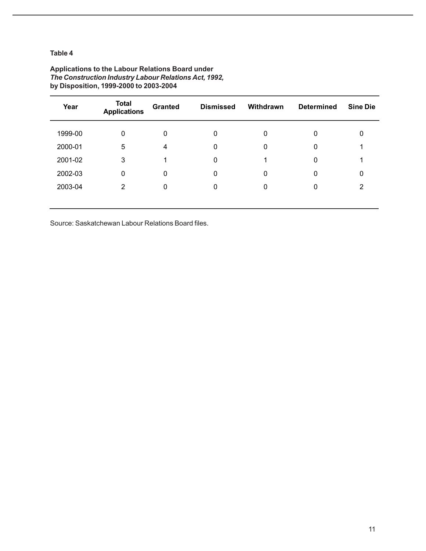| Year    | <b>Total</b><br><b>Applications</b> | <b>Granted</b> | <b>Dismissed</b> | Withdrawn | <b>Determined</b> | <b>Sine Die</b> |
|---------|-------------------------------------|----------------|------------------|-----------|-------------------|-----------------|
| 1999-00 | 0                                   | $\mathbf 0$    | 0                | 0         | 0                 | 0               |
| 2000-01 | 5                                   | 4              | 0                | 0         | 0                 |                 |
| 2001-02 | 3                                   |                | 0                |           | 0                 |                 |
| 2002-03 | $\mathbf 0$                         | 0              | 0                | 0         | 0                 | 0               |
| 2003-04 | 2                                   | 0              | 0                | 0         | 0                 | 2               |
|         |                                     |                |                  |           |                   |                 |

### **Applications to the Labour Relations Board under** *The Construction Industry Labour Relations Act, 1992,* **by Disposition, 1999-2000 to 2003-2004**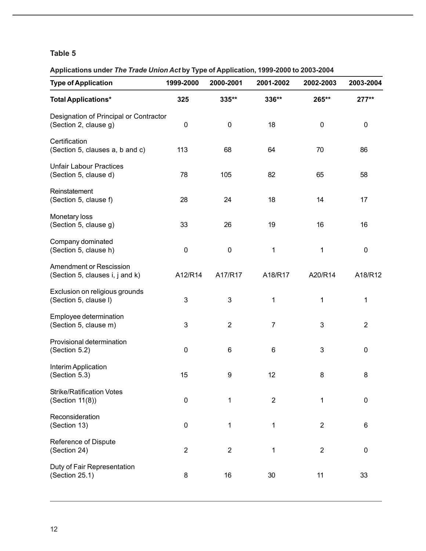**Applications under** *The Trade Union Act* **by Type of Application, 1999-2000 to 2003-2004**

| <b>Type of Application</b>                                        | 1999-2000      | 2000-2001      | 2001-2002      | 2002-2003      | 2003-2004      |
|-------------------------------------------------------------------|----------------|----------------|----------------|----------------|----------------|
| <b>Total Applications*</b>                                        | 325            | 335**          | 336**          | 265**          | 277**          |
| Designation of Principal or Contractor<br>(Section 2, clause g)   | 0              | $\pmb{0}$      | 18             | $\pmb{0}$      | $\pmb{0}$      |
| Certification<br>(Section 5, clauses a, b and c)                  | 113            | 68             | 64             | 70             | 86             |
| <b>Unfair Labour Practices</b><br>(Section 5, clause d)           | 78             | 105            | 82             | 65             | 58             |
| Reinstatement<br>(Section 5, clause f)                            | 28             | 24             | 18             | 14             | 17             |
| Monetary loss<br>(Section 5, clause g)                            | 33             | 26             | 19             | 16             | 16             |
| Company dominated<br>(Section 5, clause h)                        | $\pmb{0}$      | $\pmb{0}$      | 1              | 1              | 0              |
| <b>Amendment or Rescission</b><br>(Section 5, clauses i, j and k) | A12/R14        | A17/R17        | A18/R17        | A20/R14        | A18/R12        |
| Exclusion on religious grounds<br>(Section 5, clause I)           | 3              | 3              | 1              | 1              | 1              |
| Employee determination<br>(Section 5, clause m)                   | 3              | $\overline{2}$ | $\overline{7}$ | 3              | $\overline{2}$ |
| Provisional determination<br>(Section 5.2)                        | $\mathbf 0$    | $\,6\,$        | 6              | 3              | 0              |
| Interim Application<br>(Section 5.3)                              | 15             | 9              | 12             | 8              | 8              |
| <b>Strike/Ratification Votes</b><br>(Section 11(8))               | $\mathbf 0$    | 1              | $\overline{2}$ | 1              | 0              |
| Reconsideration<br>(Section 13)                                   | $\pmb{0}$      | 1              | 1              | $\overline{2}$ | 6              |
| Reference of Dispute<br>(Section 24)                              | $\overline{2}$ | $\overline{2}$ | 1              | $\overline{2}$ | $\pmb{0}$      |
| Duty of Fair Representation<br>(Section 25.1)                     | 8              | 16             | 30             | 11             | 33             |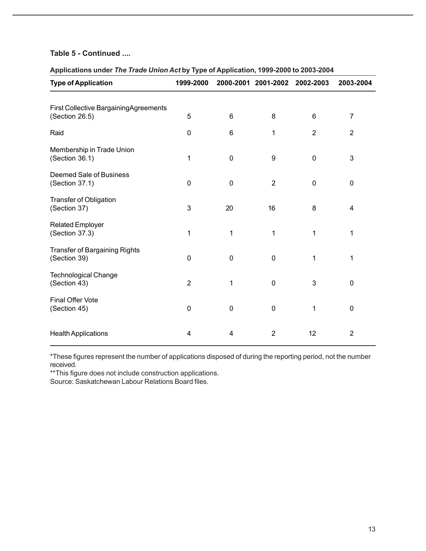### **Table 5 - Continued ....**

### **Applications under** *The Trade Union Act* **by Type of Application, 1999-2000 to 2003-2004**

| <b>Type of Application</b>                              | 1999-2000      |    | 2000-2001 2001-2002 2002-2003 |                | 2003-2004      |
|---------------------------------------------------------|----------------|----|-------------------------------|----------------|----------------|
| First Collective BargainingAgreements<br>(Section 26.5) | 5              | 6  | 8                             | 6              | 7              |
| Raid                                                    | 0              | 6  | 1                             | $\overline{2}$ | $\overline{2}$ |
| Membership in Trade Union<br>(Section 36.1)             | 1              | 0  | $\boldsymbol{9}$              | $\mathbf 0$    | 3              |
| Deemed Sale of Business<br>(Section 37.1)               | 0              | 0  | $\overline{2}$                | $\mathbf 0$    | 0              |
| <b>Transfer of Obligation</b><br>(Section 37)           | 3              | 20 | 16                            | 8              | 4              |
| <b>Related Employer</b><br>(Section 37.3)               | 1              | 1  | 1                             | 1              | 1              |
| Transfer of Bargaining Rights<br>(Section 39)           | 0              | 0  | $\mathbf 0$                   | 1              | 1              |
| <b>Technological Change</b><br>(Section 43)             | $\overline{2}$ | 1  | $\mathbf 0$                   | 3              | 0              |
| <b>Final Offer Vote</b><br>(Section 45)                 | 0              | 0  | $\mathbf 0$                   | 1              | 0              |
| <b>Health Applications</b>                              | 4              | 4  | $\overline{2}$                | 12             | $\overline{2}$ |

\*These figures represent the number of applications disposed of during the reporting period, not the number received.

\*\*This figure does not include construction applications.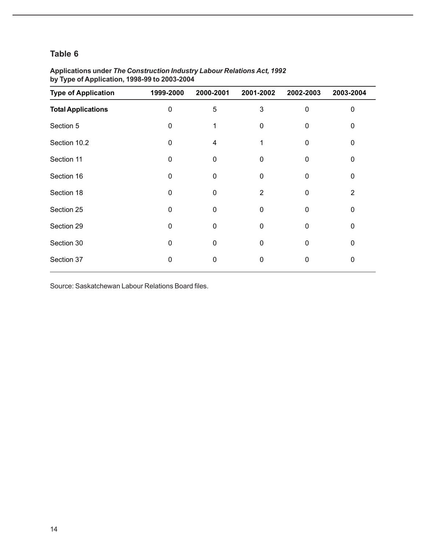| <b>Type of Application</b> | 1999-2000 | 2000-2001   | 2001-2002   | 2002-2003 | 2003-2004      |
|----------------------------|-----------|-------------|-------------|-----------|----------------|
| <b>Total Applications</b>  | 0         | 5           | 3           | 0         | 0              |
| Section 5                  | 0         |             | $\Omega$    | 0         | $\mathbf{0}$   |
| Section 10.2               | 0         | 4           |             | 0         | 0              |
| Section 11                 | 0         | $\Omega$    | 0           | $\Omega$  | $\mathbf{0}$   |
| Section 16                 | $\Omega$  | $\Omega$    | $\Omega$    | 0         | $\Omega$       |
| Section 18                 | 0         | $\mathbf 0$ | 2           | 0         | $\overline{2}$ |
| Section 25                 | $\Omega$  | $\Omega$    | $\mathbf 0$ | $\Omega$  | $\mathbf 0$    |
| Section 29                 | $\Omega$  | 0           | 0           | 0         | 0              |
| Section 30                 | $\Omega$  | $\Omega$    | $\Omega$    | $\Omega$  | $\mathbf{0}$   |
| Section 37                 | 0         | 0           | $\mathbf 0$ | 0         | 0              |

### **Applications under** *The Construction Industry Labour Relations Act, 1992* **by Type of Application, 1998-99 to 2003-2004**